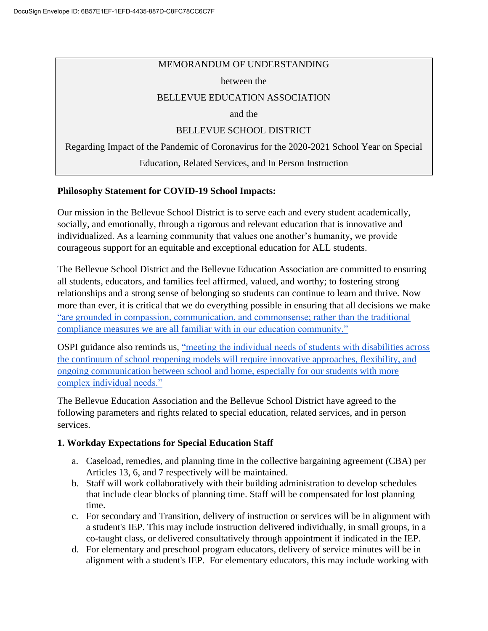#### MEMORANDUM OF UNDERSTANDING

#### between the

### BELLEVUE EDUCATION ASSOCIATION

and the

### BELLEVUE SCHOOL DISTRICT

Regarding Impact of the Pandemic of Coronavirus for the 2020-2021 School Year on Special

Education, Related Services, and In Person Instruction

### **Philosophy Statement for COVID-19 School Impacts:**

Our mission in the Bellevue School District is to serve each and every student academically, socially, and emotionally, through a rigorous and relevant education that is innovative and individualized. As a learning community that values one another's humanity, we provide courageous support for an equitable and exceptional education for ALL students.

The Bellevue School District and the Bellevue Education Association are committed to ensuring all students, educators, and families feel affirmed, valued, and worthy; to fostering strong relationships and a strong sense of belonging so students can continue to learn and thrive. Now more than ever, it is critical that we do everything possible in ensuring that all decisions we mak[e](https://www.k12.wa.us/sites/default/files/public/bulletinsmemos/bulletins2020/4_Guidance%20for%20Long-term%20School%20Closures%20as%20of%20March%2023.pdf) ["are grounded in compassion, communication, and commonsense; rather than the traditional](https://www.k12.wa.us/sites/default/files/public/bulletinsmemos/bulletins2020/4_Guidance%20for%20Long-term%20School%20Closures%20as%20of%20March%2023.pdf)  [compliance measures we are all familiar with in our education community."](https://www.k12.wa.us/sites/default/files/public/bulletinsmemos/bulletins2020/4_Guidance%20for%20Long-term%20School%20Closures%20as%20of%20March%2023.pdf)

OSPI guidance also reminds us, ["meeting the individual needs of students with disabilities across](https://www.k12.wa.us/sites/default/files/public/specialed/pubdocs/Reopening-WA-Schools-2020-SpEd-Guidance.pdf#page=39)  [the continuum of school reopening models will require innovative approaches, flexibility, and](https://www.k12.wa.us/sites/default/files/public/specialed/pubdocs/Reopening-WA-Schools-2020-SpEd-Guidance.pdf#page=39)  [ongoing communication between school and home, especially for our students with more](https://www.k12.wa.us/sites/default/files/public/specialed/pubdocs/Reopening-WA-Schools-2020-SpEd-Guidance.pdf#page=39)  [complex individual needs."](https://www.k12.wa.us/sites/default/files/public/specialed/pubdocs/Reopening-WA-Schools-2020-SpEd-Guidance.pdf#page=39)

The Bellevue Education Association and the Bellevue School District have agreed to the following parameters and rights related to special education, related services, and in person services.

## **1. Workday Expectations for Special Education Staff**

- a. Caseload, remedies, and planning time in the collective bargaining agreement (CBA) per Articles 13, 6, and 7 respectively will be maintained.
- b. Staff will work collaboratively with their building administration to develop schedules that include clear blocks of planning time. Staff will be compensated for lost planning time.
- c. For secondary and Transition, delivery of instruction or services will be in alignment with a student's IEP. This may include instruction delivered individually, in small groups, in a co-taught class, or delivered consultatively through appointment if indicated in the IEP.
- d. For elementary and preschool program educators, delivery of service minutes will be in alignment with a student's IEP. For elementary educators, this may include working with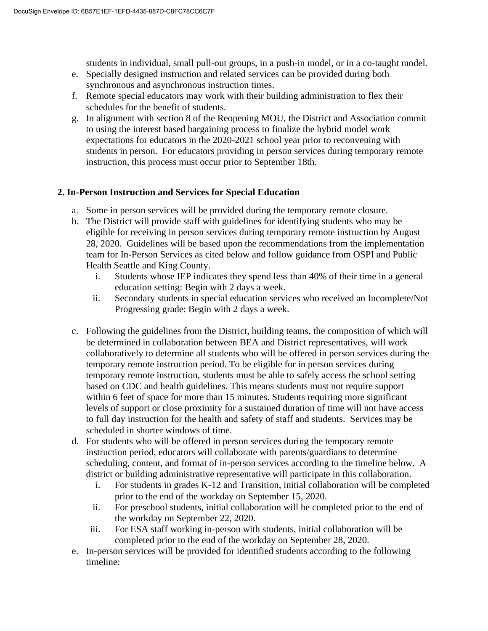students in individual, small pull-out groups, in a push-in model, or in a co-taught model.

- e. Specially designed instruction and related services can be provided during both synchronous and asynchronous instruction times.
- f. Remote special educators may work with their building administration to flex their schedules for the benefit of students.
- g. In alignment with section 8 of the Reopening MOU, the District and Association commit to using the interest based bargaining process to finalize the hybrid model work expectations for educators in the 2020-2021 school year prior to reconvening with students in person. For educators providing in person services during temporary remote instruction, this process must occur prior to September 18th.

## **2. In-Person Instruction and Services for Special Education**

- a. Some in person services will be provided during the temporary remote closure.
- b. The District will provide staff with guidelines for identifying students who may be eligible for receiving in person services during temporary remote instruction by August 28, 2020. Guidelines will be based upon the recommendations from the implementation team for In-Person Services as cited below and follow guidance from OSPI and Public Health Seattle and King County.
	- i. Students whose IEP indicates they spend less than 40% of their time in a general education setting: Begin with 2 days a week.
	- ii. Secondary students in special education services who received an Incomplete/Not Progressing grade: Begin with 2 days a week.
- c. Following the guidelines from the District, building teams, the composition of which will be determined in collaboration between BEA and District representatives, will work collaboratively to determine all students who will be offered in person services during the temporary remote instruction period. To be eligible for in person services during temporary remote instruction, students must be able to safely access the school setting based on CDC and health guidelines. This means students must not require support within 6 feet of space for more than 15 minutes. Students requiring more significant levels of support or close proximity for a sustained duration of time will not have access to full day instruction for the health and safety of staff and students. Services may be scheduled in shorter windows of time.
- d. For students who will be offered in person services during the temporary remote instruction period, educators will collaborate with parents/guardians to determine scheduling, content, and format of in-person services according to the timeline below. A district or building administrative representative will participate in this collaboration.
	- i. For students in grades K-12 and Transition, initial collaboration will be completed prior to the end of the workday on September 15, 2020.
	- ii. For preschool students, initial collaboration will be completed prior to the end of the workday on September 22, 2020.
	- iii. For ESA staff working in-person with students, initial collaboration will be completed prior to the end of the workday on September 28, 2020.
- e. In-person services will be provided for identified students according to the following timeline: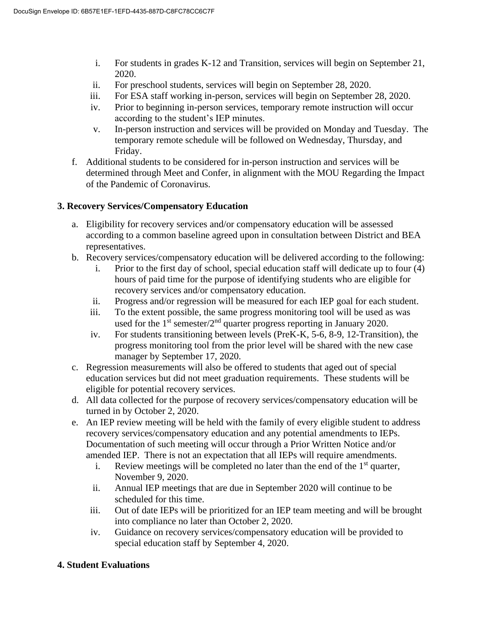- i. For students in grades K-12 and Transition, services will begin on September 21, 2020.
- ii. For preschool students, services will begin on September 28, 2020.
- iii. For ESA staff working in-person, services will begin on September 28, 2020.
- iv. Prior to beginning in-person services, temporary remote instruction will occur according to the student's IEP minutes.
- v. In-person instruction and services will be provided on Monday and Tuesday. The temporary remote schedule will be followed on Wednesday, Thursday, and Friday.
- f. Additional students to be considered for in-person instruction and services will be determined through Meet and Confer, in alignment with the MOU Regarding the Impact of the Pandemic of Coronavirus.

# **3. Recovery Services/Compensatory Education**

- a. Eligibility for recovery services and/or compensatory education will be assessed according to a common baseline agreed upon in consultation between District and BEA representatives.
- b. Recovery services/compensatory education will be delivered according to the following:
	- i. Prior to the first day of school, special education staff will dedicate up to four (4) hours of paid time for the purpose of identifying students who are eligible for recovery services and/or compensatory education.
	- ii. Progress and/or regression will be measured for each IEP goal for each student.
	- iii. To the extent possible, the same progress monitoring tool will be used as was used for the  $1<sup>st</sup>$  semester/2<sup>nd</sup> quarter progress reporting in January 2020.
	- iv. For students transitioning between levels (PreK-K, 5-6, 8-9, 12-Transition), the progress monitoring tool from the prior level will be shared with the new case manager by September 17, 2020.
- c. Regression measurements will also be offered to students that aged out of special education services but did not meet graduation requirements. These students will be eligible for potential recovery services.
- d. All data collected for the purpose of recovery services/compensatory education will be turned in by October 2, 2020.
- e. An IEP review meeting will be held with the family of every eligible student to address recovery services/compensatory education and any potential amendments to IEPs. Documentation of such meeting will occur through a Prior Written Notice and/or amended IEP. There is not an expectation that all IEPs will require amendments.
	- i. Review meetings will be completed no later than the end of the  $1<sup>st</sup>$  quarter, November 9, 2020.
	- ii. Annual IEP meetings that are due in September 2020 will continue to be scheduled for this time.
	- iii. Out of date IEPs will be prioritized for an IEP team meeting and will be brought into compliance no later than October 2, 2020.
	- iv. Guidance on recovery services/compensatory education will be provided to special education staff by September 4, 2020.

## **4. Student Evaluations**